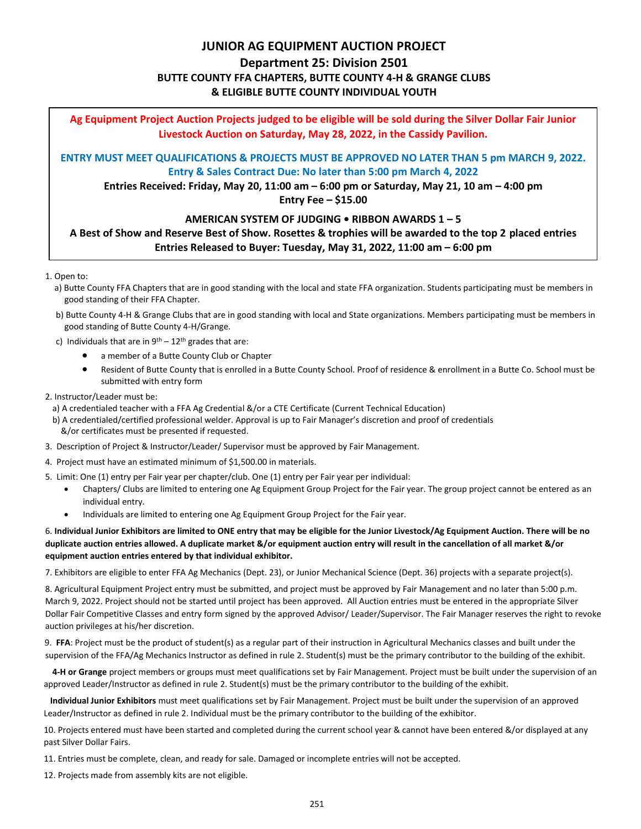### **JUNIOR AG EQUIPMENT AUCTION PROJECT**

# **Department 25: Division 2501 BUTTE COUNTY FFA CHAPTERS, BUTTE COUNTY 4-H & GRANGE CLUBS & ELIGIBLE BUTTE COUNTY INDIVIDUAL YOUTH**

**Ag Equipment Project Auction Projects judged to be eligible will be sold during the Silver Dollar Fair Junior Livestock Auction on Saturday, May 28, 2022, in the Cassidy Pavilion.**

**ENTRY MUST MEET QUALIFICATIONS & PROJECTS MUST BE APPROVED NO LATER THAN 5 pm MARCH 9, 2022. Entry & Sales Contract Due: No later than 5:00 pm March 4, 2022**

**Entries Received: Friday, May 20, 11:00 am – 6:00 pm or Saturday, May 21, 10 am – 4:00 pm**

**Entry Fee – \$15.00**

# **AMERICAN SYSTEM OF JUDGING • RIBBON AWARDS 1 – 5 A Best of Show and Reserve Best of Show. Rosettes & trophies will be awarded to the top 2 placed entries**

**Entries Released to Buyer: Tuesday, May 31, 2022, 11:00 am – 6:00 pm**

1. Open to:

- a) Butte County FFA Chapters that are in good standing with the local and state FFA organization. Students participating must be members in good standing of their FFA Chapter.
- b) Butte County 4-H & Grange Clubs that are in good standing with local and State organizations. Members participating must be members in good standing of Butte County 4-H/Grange.
- c) Individuals that are in  $9<sup>th</sup> 12<sup>th</sup>$  grades that are:
	- a member of a Butte County Club or Chapter
	- Resident of Butte County that is enrolled in a Butte County School. Proof of residence & enrollment in a Butte Co. School must be submitted with entry form
- 2. Instructor/Leader must be:
	- a) A credentialed teacher with a FFA Ag Credential &/or a CTE Certificate (Current Technical Education)
- b) A credentialed/certified professional welder. Approval is up to Fair Manager's discretion and proof of credentials &/or certificates must be presented if requested.
- 3. Description of Project & Instructor/Leader/ Supervisor must be approved by Fair Management.
- 4. Project must have an estimated minimum of \$1,500.00 in materials.
- 5. Limit: One (1) entry per Fair year per chapter/club. One (1) entry per Fair year per individual:
	- Chapters/ Clubs are limited to entering one Ag Equipment Group Project for the Fair year. The group project cannot be entered as an individual entry.
	- Individuals are limited to entering one Ag Equipment Group Project for the Fair year.

#### 6. **Individual Junior Exhibitors are limited to ONE entry that may be eligible for the Junior Livestock/Ag Equipment Auction. There will be no duplicate auction entries allowed. A duplicate market &/or equipment auction entry will result in the cancellation of all market &/or equipment auction entries entered by that individual exhibitor.**

7. Exhibitors are eligible to enter FFA Ag Mechanics (Dept. 23), or Junior Mechanical Science (Dept. 36) projects with a separate project(s).

8. Agricultural Equipment Project entry must be submitted, and project must be approved by Fair Management and no later than 5:00 p.m. March 9, 2022. Project should not be started until project has been approved. All Auction entries must be entered in the appropriate Silver Dollar Fair Competitive Classes and entry form signed by the approved Advisor/ Leader/Supervisor. The Fair Manager reserves the right to revoke auction privileges at his/her discretion.

9. **FFA**: Project must be the product of student(s) as a regular part of their instruction in Agricultural Mechanics classes and built under the supervision of the FFA/Ag Mechanics Instructor as defined in rule 2. Student(s) must be the primary contributor to the building of the exhibit.

 **4-H or Grange** project members or groups must meet qualifications set by Fair Management. Project must be built under the supervision of an approved Leader/Instructor as defined in rule 2. Student(s) must be the primary contributor to the building of the exhibit.

 **Individual Junior Exhibitors** must meet qualifications set by Fair Management. Project must be built under the supervision of an approved Leader/Instructor as defined in rule 2. Individual must be the primary contributor to the building of the exhibitor.

 10. Projects entered must have been started and completed during the current school year & cannot have been entered &/or displayed at any past Silver Dollar Fairs.

11. Entries must be complete, clean, and ready for sale. Damaged or incomplete entries will not be accepted.

12. Projects made from assembly kits are not eligible.